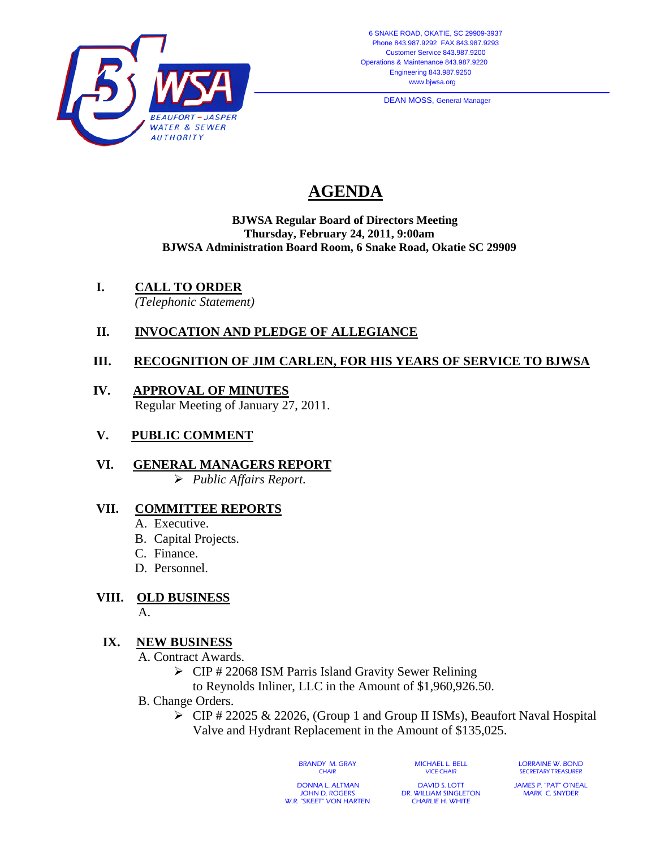

**DEAN MOSS, General Manager** 

# **AGENDA**

#### **BJWSA Regular Board of Directors Meeting Thursday, February 24, 2011, 9:00am BJWSA Administration Board Room, 6 Snake Road, Okatie SC 29909**

**I. CALL TO ORDER**

*(Telephonic Statement)* 

## **II. INVOCATION AND PLEDGE OF ALLEGIANCE**

### **III. RECOGNITION OF JIM CARLEN, FOR HIS YEARS OF SERVICE TO BJWSA**

- **IV. APPROVAL OF MINUTES** Regular Meeting of January 27, 2011.
- **V. PUBLIC COMMENT**
- **VI. GENERAL MANAGERS REPORT** ¾ *Public Affairs Report.*

#### **VII. COMMITTEE REPORTS**

- A. Executive.
- B. Capital Projects.
- C. Finance.
- D. Personnel.

#### **VIII. OLD BUSINESS**

A.

#### **IX. NEW BUSINESS**

A. Contract Awards.

- $\triangleright$  CIP # 22068 ISM Parris Island Gravity Sewer Relining
- to Reynolds Inliner, LLC in the Amount of \$1,960,926.50.
- B. Change Orders.
	- ¾ CIP # 22025 & 22026, (Group 1 and Group II ISMs), Beaufort Naval Hospital Valve and Hydrant Replacement in the Amount of \$135,025.

BRANDY M. GRAY **CHAIR** 

MICHAEL L. BELL VICE CHAIR

LORRAINE W. BOND SECRETARY TREASURER

 DONNA L. ALTMAN JOHN D. ROGERS W.R. "SKEET" VON HARTEN

DAVID S. LOTT DR. WILLIAM SINGLETON CHARLIE H. WHITE

JAMES P. "PAT" O'NEAL MARK C. SNYDER